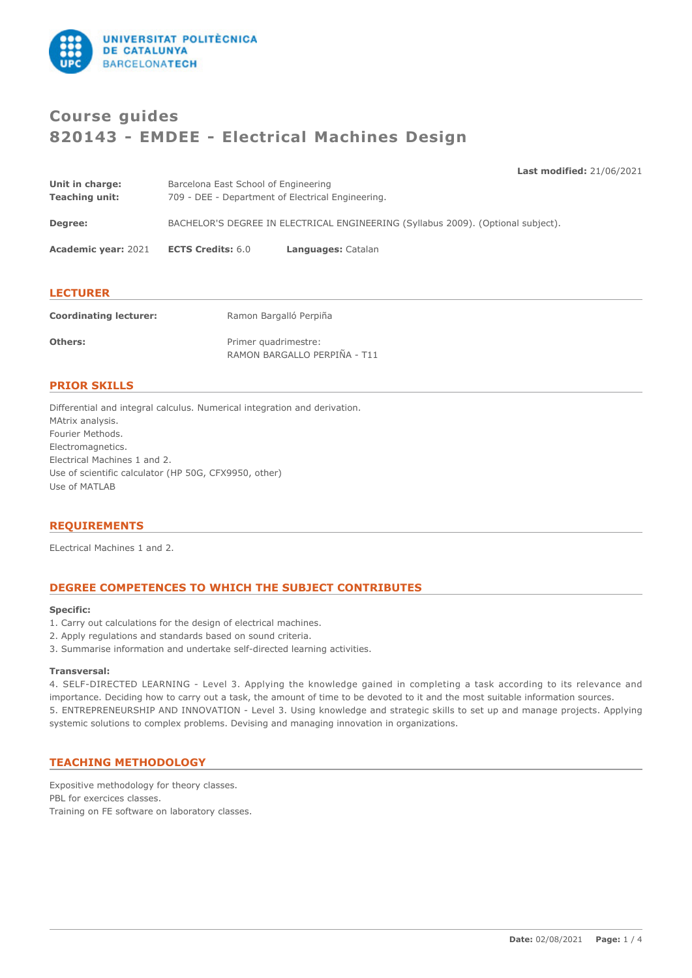

# **Course guides 820143 - EMDEE - Electrical Machines Design**

**Last modified:** 21/06/2021

| Unit in charge:            | Barcelona East School of Engineering                                             |                    |  |
|----------------------------|----------------------------------------------------------------------------------|--------------------|--|
| <b>Teaching unit:</b>      | 709 - DEE - Department of Electrical Engineering.                                |                    |  |
|                            |                                                                                  |                    |  |
| Degree:                    | BACHELOR'S DEGREE IN ELECTRICAL ENGINEERING (Syllabus 2009). (Optional subject). |                    |  |
|                            |                                                                                  |                    |  |
| <b>Academic year: 2021</b> | <b>ECTS Credits: 6.0</b>                                                         | Languages: Catalan |  |
|                            |                                                                                  |                    |  |
|                            |                                                                                  |                    |  |
|                            |                                                                                  |                    |  |

### **LECTURER**

| <b>Coordinating lecturer:</b> | Ramon Bargalló Perpiña       |
|-------------------------------|------------------------------|
| <b>Others:</b>                | Primer quadrimestre:         |
|                               | RAMON BARGALLO PERPIÑA - T11 |

### **PRIOR SKILLS**

Differential and integral calculus. Numerical integration and derivation. MAtrix analysis. Fourier Methods. Electromagnetics. Electrical Machines 1 and 2. Use of scientific calculator (HP 50G, CFX9950, other) Use of MATLAB

### **REQUIREMENTS**

ELectrical Machines 1 and 2.

## **DEGREE COMPETENCES TO WHICH THE SUBJECT CONTRIBUTES**

#### **Specific:**

- 1. Carry out calculations for the design of electrical machines.
- 2. Apply regulations and standards based on sound criteria.
- 3. Summarise information and undertake self-directed learning activities.

#### **Transversal:**

4. SELF-DIRECTED LEARNING - Level 3. Applying the knowledge gained in completing a task according to its relevance and importance. Deciding how to carry out a task, the amount of time to be devoted to it and the most suitable information sources. 5. ENTREPRENEURSHIP AND INNOVATION - Level 3. Using knowledge and strategic skills to set up and manage projects. Applying systemic solutions to complex problems. Devising and managing innovation in organizations.

### **TEACHING METHODOLOGY**

Expositive methodology for theory classes. PBL for exercices classes. Training on FE software on laboratory classes.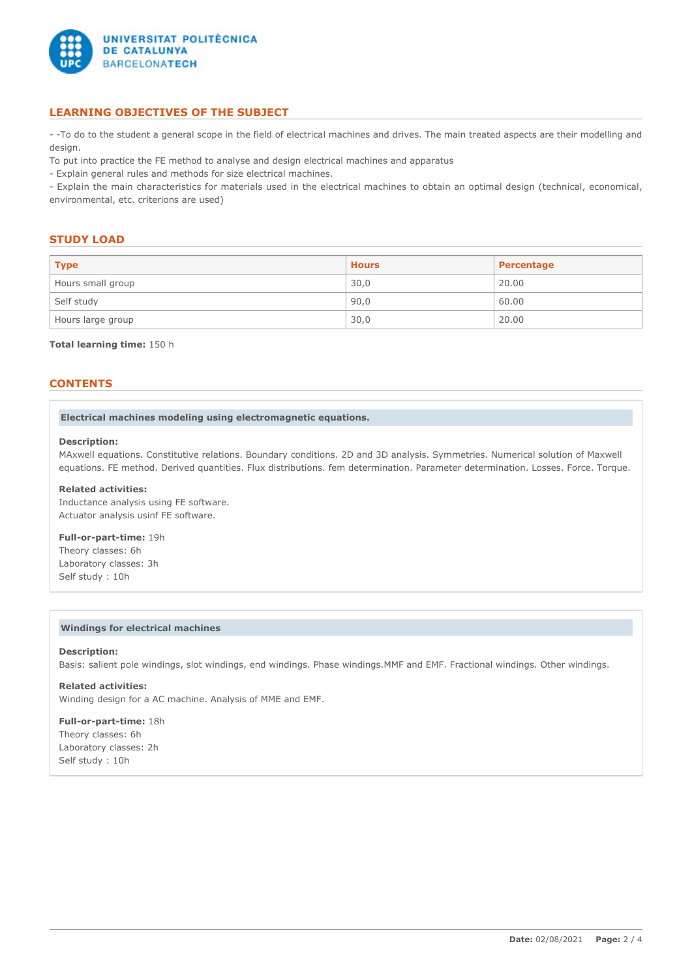

## **LEARNING OBJECTIVES OF THE SUBJECT**

- -To do to the student a general scope in the field of electrical machines and drives. The main treated aspects are their modelling and design.

To put into practice the FE method to analyse and design electrical machines and apparatus

- Explain general rules and methods for size electrical machines.

- Explain the main characteristics for materials used in the electrical machines to obtain an optimal design (technical, economical, environmental, etc. criterions are used)

#### **STUDY LOAD**

| <b>Type</b>       | <b>Hours</b> | Percentage |
|-------------------|--------------|------------|
| Hours small group | 30,0         | 20.00      |
| Self study        | 90,0         | 60.00      |
| Hours large group | 30,0         | 20.00      |

#### **Total learning time:** 150 h

## **CONTENTS**

#### **Electrical machines modeling using electromagnetic equations.**

#### **Description:**

MAxwell equations. Constitutive relations. Boundary conditions. 2D and 3D analysis. Symmetries. Numerical solution of Maxwell equations. FE method. Derived quantities. Flux distributions. fem determination. Parameter determination. Losses. Force. Torque.

#### **Related activities:**

Inductance analysis using FE software. Actuator analysis usinf FE software.

#### **Full-or-part-time:** 19h

Theory classes: 6h Laboratory classes: 3h Self study : 10h

#### **Windings for electrical machines**

#### **Description:**

Basis: salient pole windings, slot windings, end windings. Phase windings.MMF and EMF. Fractional windings. Other windings.

## **Related activities:**

Winding design for a AC machine. Analysis of MME and EMF.

**Full-or-part-time:** 18h Theory classes: 6h Laboratory classes: 2h Self study : 10h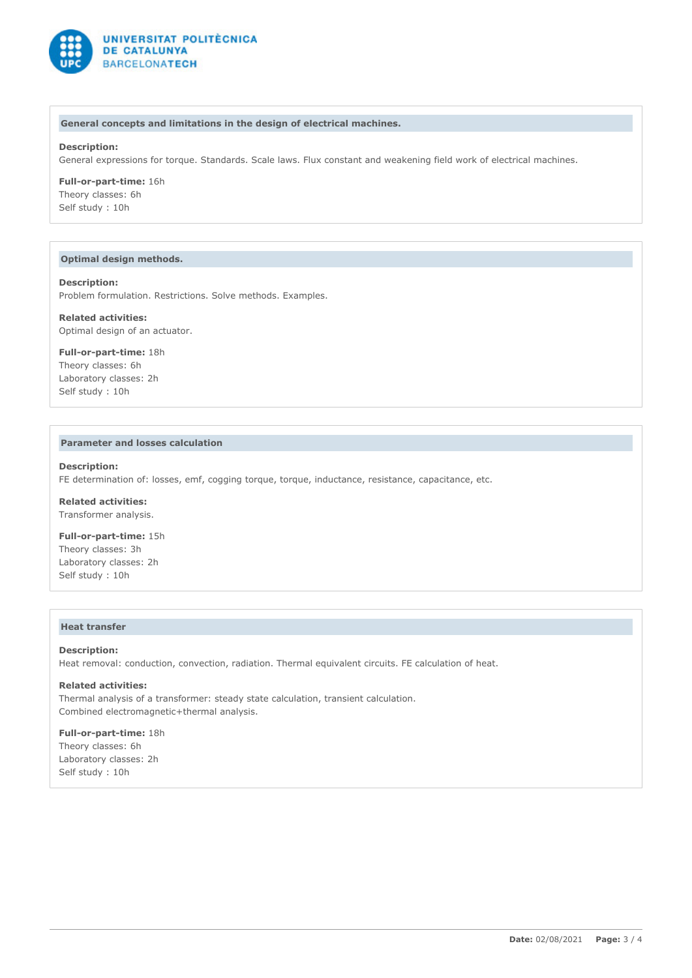

#### **General concepts and limitations in the design of electrical machines.**

#### **Description:**

General expressions for torque. Standards. Scale laws. Flux constant and weakening field work of electrical machines.

#### **Full-or-part-time:** 16h Theory classes: 6h

Self study : 10h

#### **Optimal design methods.**

#### **Description:**

Problem formulation. Restrictions. Solve methods. Examples.

#### **Related activities:**

Optimal design of an actuator.

#### **Full-or-part-time:** 18h Theory classes: 6h Laboratory classes: 2h Self study : 10h

#### **Parameter and losses calculation**

#### **Description:**

FE determination of: losses, emf, cogging torque, torque, inductance, resistance, capacitance, etc.

**Related activities:** Transformer analysis.

**Full-or-part-time:** 15h Theory classes: 3h Laboratory classes: 2h Self study : 10h

#### **Heat transfer**

#### **Description:**

Heat removal: conduction, convection, radiation. Thermal equivalent circuits. FE calculation of heat.

## **Related activities:**

Thermal analysis of a transformer: steady state calculation, transient calculation. Combined electromagnetic+thermal analysis.

## **Full-or-part-time:** 18h Theory classes: 6h

Laboratory classes: 2h Self study : 10h